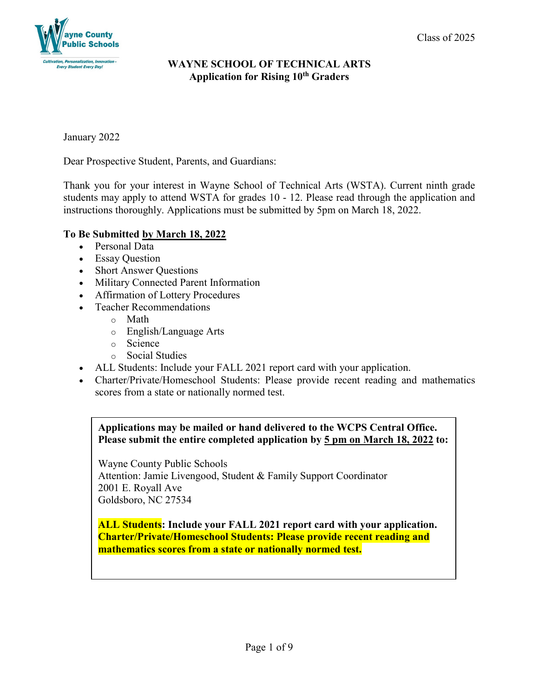

January 2022

Dear Prospective Student, Parents, and Guardians:

Thank you for your interest in Wayne School of Technical Arts (WSTA). Current ninth grade students may apply to attend WSTA for grades 10 - 12. Please read through the application and instructions thoroughly. Applications must be submitted by 5pm on March 18, 2022.

# **To Be Submitted by March 18, 2022**

- Personal Data
- Essay Question
- Short Answer Questions
- Military Connected Parent Information
- Affirmation of Lottery Procedures
- Teacher Recommendations
	- o Math
	- o English/Language Arts
	- o Science
	- o Social Studies
- ALL Students: Include your FALL 2021 report card with your application.
- Charter/Private/Homeschool Students: Please provide recent reading and mathematics scores from a state or nationally normed test.

# **Applications may be mailed or hand delivered to the WCPS Central Office. Please submit the entire completed application by 5 pm on March 18, 2022 to:**

Wayne County Public Schools Attention: Jamie Livengood, Student & Family Support Coordinator 2001 E. Royall Ave Goldsboro, NC 27534

**ALL Students: Include your FALL 2021 report card with your application. Charter/Private/Homeschool Students: Please provide recent reading and mathematics scores from a state or nationally normed test.**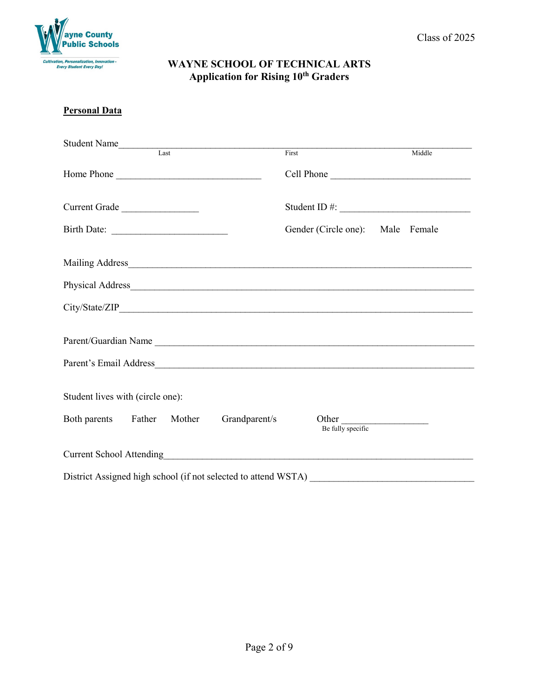

#### **Personal Data**

| Student Name<br>Last                     | First                            | Middle     |
|------------------------------------------|----------------------------------|------------|
| Home Phone                               |                                  | Cell Phone |
| Current Grade                            |                                  |            |
| Birth Date:                              | Gender (Circle one): Male Female |            |
|                                          |                                  |            |
|                                          |                                  |            |
|                                          |                                  |            |
|                                          | Parent/Guardian Name             |            |
|                                          |                                  |            |
| Student lives with (circle one):         |                                  |            |
| Both parents Father Mother Grandparent/s | Other<br>Be fully specific       |            |
|                                          |                                  |            |
|                                          |                                  |            |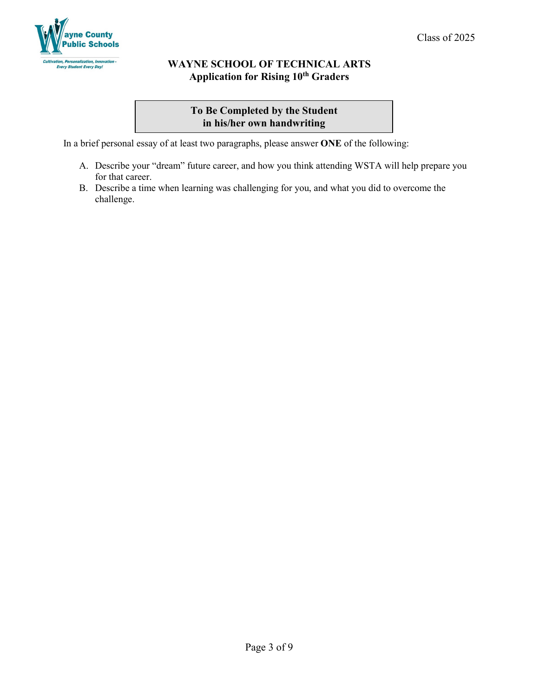

# **To Be Completed by the Student in his/her own handwriting**

In a brief personal essay of at least two paragraphs, please answer **ONE** of the following:

- A. Describe your "dream" future career, and how you think attending WSTA will help prepare you for that career.
- B. Describe a time when learning was challenging for you, and what you did to overcome the challenge.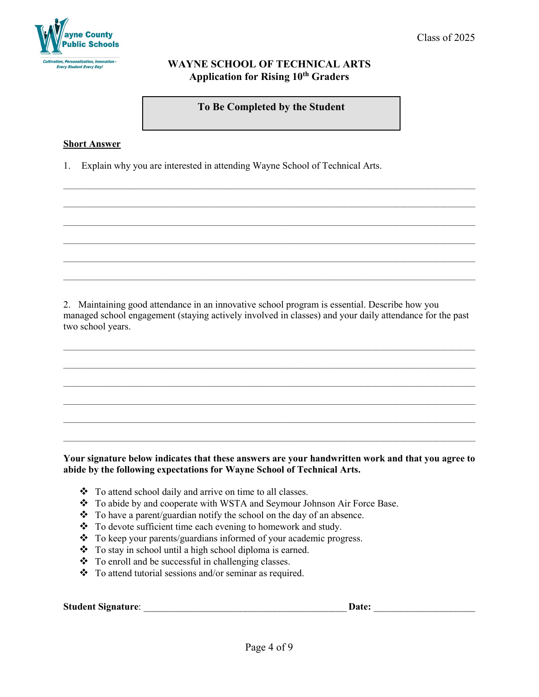

**To Be Completed by the Student**

 $\_$  ,  $\_$  ,  $\_$  ,  $\_$  ,  $\_$  ,  $\_$  ,  $\_$  ,  $\_$  ,  $\_$  ,  $\_$  ,  $\_$  ,  $\_$  ,  $\_$  ,  $\_$  ,  $\_$  ,  $\_$  ,  $\_$  ,  $\_$  ,  $\_$  ,  $\_$  ,  $\_$  ,  $\_$  ,  $\_$  ,  $\_$  ,  $\_$  ,  $\_$  ,  $\_$  ,  $\_$  ,  $\_$  ,  $\_$  ,  $\_$  ,  $\_$  ,  $\_$  ,  $\_$  ,  $\_$  ,  $\_$  ,  $\_$  ,

 $\_$  ,  $\_$  ,  $\_$  ,  $\_$  ,  $\_$  ,  $\_$  ,  $\_$  ,  $\_$  ,  $\_$  ,  $\_$  ,  $\_$  ,  $\_$  ,  $\_$  ,  $\_$  ,  $\_$  ,  $\_$  ,  $\_$  ,  $\_$  ,  $\_$  ,  $\_$  ,  $\_$  ,  $\_$  ,  $\_$  ,  $\_$  ,  $\_$  ,  $\_$  ,  $\_$  ,  $\_$  ,  $\_$  ,  $\_$  ,  $\_$  ,  $\_$  ,  $\_$  ,  $\_$  ,  $\_$  ,  $\_$  ,  $\_$  ,

 $\_$  ,  $\_$  ,  $\_$  ,  $\_$  ,  $\_$  ,  $\_$  ,  $\_$  ,  $\_$  ,  $\_$  ,  $\_$  ,  $\_$  ,  $\_$  ,  $\_$  ,  $\_$  ,  $\_$  ,  $\_$  ,  $\_$  ,  $\_$  ,  $\_$  ,  $\_$  ,  $\_$  ,  $\_$  ,  $\_$  ,  $\_$  ,  $\_$  ,  $\_$  ,  $\_$  ,  $\_$  ,  $\_$  ,  $\_$  ,  $\_$  ,  $\_$  ,  $\_$  ,  $\_$  ,  $\_$  ,  $\_$  ,  $\_$  ,

 $\_$  ,  $\_$  ,  $\_$  ,  $\_$  ,  $\_$  ,  $\_$  ,  $\_$  ,  $\_$  ,  $\_$  ,  $\_$  ,  $\_$  ,  $\_$  ,  $\_$  ,  $\_$  ,  $\_$  ,  $\_$  ,  $\_$  ,  $\_$  ,  $\_$  ,  $\_$  ,  $\_$  ,  $\_$  ,  $\_$  ,  $\_$  ,  $\_$  ,  $\_$  ,  $\_$  ,  $\_$  ,  $\_$  ,  $\_$  ,  $\_$  ,  $\_$  ,  $\_$  ,  $\_$  ,  $\_$  ,  $\_$  ,  $\_$  ,

#### **Short Answer**

1. Explain why you are interested in attending Wayne School of Technical Arts.

2. Maintaining good attendance in an innovative school program is essential. Describe how you managed school engagement (staying actively involved in classes) and your daily attendance for the past two school years.

 $\_$  ,  $\_$  ,  $\_$  ,  $\_$  ,  $\_$  ,  $\_$  ,  $\_$  ,  $\_$  ,  $\_$  ,  $\_$  ,  $\_$  ,  $\_$  ,  $\_$  ,  $\_$  ,  $\_$  ,  $\_$  ,  $\_$  ,  $\_$  ,  $\_$  ,  $\_$  ,  $\_$  ,  $\_$  ,  $\_$  ,  $\_$  ,  $\_$  ,  $\_$  ,  $\_$  ,  $\_$  ,  $\_$  ,  $\_$  ,  $\_$  ,  $\_$  ,  $\_$  ,  $\_$  ,  $\_$  ,  $\_$  ,  $\_$  ,

 $\_$  ,  $\_$  ,  $\_$  ,  $\_$  ,  $\_$  ,  $\_$  ,  $\_$  ,  $\_$  ,  $\_$  ,  $\_$  ,  $\_$  ,  $\_$  ,  $\_$  ,  $\_$  ,  $\_$  ,  $\_$  ,  $\_$  ,  $\_$  ,  $\_$  ,  $\_$  ,  $\_$  ,  $\_$  ,  $\_$  ,  $\_$  ,  $\_$  ,  $\_$  ,  $\_$  ,  $\_$  ,  $\_$  ,  $\_$  ,  $\_$  ,  $\_$  ,  $\_$  ,  $\_$  ,  $\_$  ,  $\_$  ,  $\_$  ,

 $\_$  ,  $\_$  ,  $\_$  ,  $\_$  ,  $\_$  ,  $\_$  ,  $\_$  ,  $\_$  ,  $\_$  ,  $\_$  ,  $\_$  ,  $\_$  ,  $\_$  ,  $\_$  ,  $\_$  ,  $\_$  ,  $\_$  ,  $\_$  ,  $\_$  ,  $\_$  ,  $\_$  ,  $\_$  ,  $\_$  ,  $\_$  ,  $\_$  ,  $\_$  ,  $\_$  ,  $\_$  ,  $\_$  ,  $\_$  ,  $\_$  ,  $\_$  ,  $\_$  ,  $\_$  ,  $\_$  ,  $\_$  ,  $\_$  ,

 $\_$  ,  $\_$  ,  $\_$  ,  $\_$  ,  $\_$  ,  $\_$  ,  $\_$  ,  $\_$  ,  $\_$  ,  $\_$  ,  $\_$  ,  $\_$  ,  $\_$  ,  $\_$  ,  $\_$  ,  $\_$  ,  $\_$  ,  $\_$  ,  $\_$  ,  $\_$  ,  $\_$  ,  $\_$  ,  $\_$  ,  $\_$  ,  $\_$  ,  $\_$  ,  $\_$  ,  $\_$  ,  $\_$  ,  $\_$  ,  $\_$  ,  $\_$  ,  $\_$  ,  $\_$  ,  $\_$  ,  $\_$  ,  $\_$  ,

 $\_$  ,  $\_$  ,  $\_$  ,  $\_$  ,  $\_$  ,  $\_$  ,  $\_$  ,  $\_$  ,  $\_$  ,  $\_$  ,  $\_$  ,  $\_$  ,  $\_$  ,  $\_$  ,  $\_$  ,  $\_$  ,  $\_$  ,  $\_$  ,  $\_$  ,  $\_$  ,  $\_$  ,  $\_$  ,  $\_$  ,  $\_$  ,  $\_$  ,  $\_$  ,  $\_$  ,  $\_$  ,  $\_$  ,  $\_$  ,  $\_$  ,  $\_$  ,  $\_$  ,  $\_$  ,  $\_$  ,  $\_$  ,  $\_$  ,

#### **Your signature below indicates that these answers are your handwritten work and that you agree to abide by the following expectations for Wayne School of Technical Arts.**

- \* To attend school daily and arrive on time to all classes.
- \* To abide by and cooperate with WSTA and Seymour Johnson Air Force Base.
- $\bullet$  To have a parent/guardian notify the school on the day of an absence.
- \* To devote sufficient time each evening to homework and study.
- \* To keep your parents/guardians informed of your academic progress.
- \* To stay in school until a high school diploma is earned.
- \* To enroll and be successful in challenging classes.
- $\bullet$  To attend tutorial sessions and/or seminar as required.

**Student Signature**: \_\_\_\_\_\_\_\_\_\_\_\_\_\_\_\_\_\_\_\_\_\_\_\_\_\_\_\_\_\_\_\_\_\_\_\_\_\_\_\_\_\_ **Date:** \_\_\_\_\_\_\_\_\_\_\_\_\_\_\_\_\_\_\_\_\_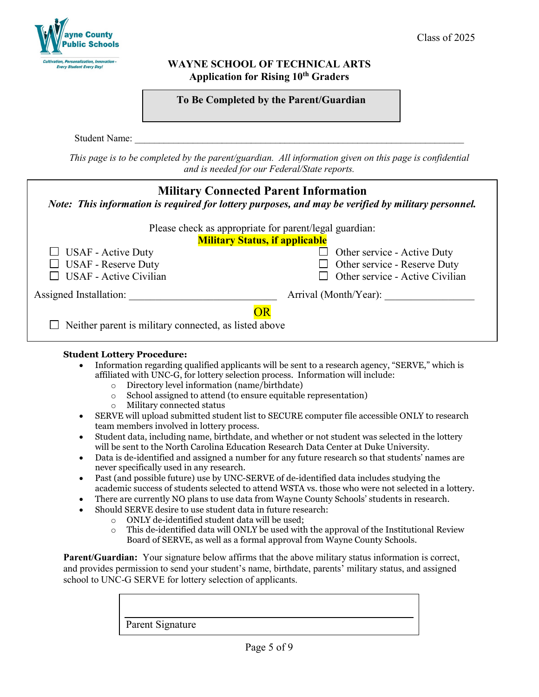

Student Name:

*This page is to be completed by the parent/guardian. All information given on this page is confidential and is needed for our Federal/State reports.*

| <b>Military Connected Parent Information</b><br>Note: This information is required for lottery purposes, and may be verified by military personnel. |                                                        |  |  |
|-----------------------------------------------------------------------------------------------------------------------------------------------------|--------------------------------------------------------|--|--|
|                                                                                                                                                     | Please check as appropriate for parent/legal guardian: |  |  |
|                                                                                                                                                     | <b>Military Status, if applicable</b>                  |  |  |
| $\Box$ USAF - Active Duty                                                                                                                           | Other service - Active Duty<br>$\mathsf{L}$            |  |  |
| <b>USAF</b> - Reserve Duty                                                                                                                          | Other service - Reserve Duty<br>$\Box$                 |  |  |
| <b>USAF</b> - Active Civilian                                                                                                                       | Other service - Active Civilian                        |  |  |
| Assigned Installation:                                                                                                                              | Arrival (Month/Year):                                  |  |  |
| ЭR<br>Neither parent is military connected, as listed above                                                                                         |                                                        |  |  |

### **Student Lottery Procedure:**

- Information regarding qualified applicants will be sent to a research agency, "SERVE," which is affiliated with UNC-G, for lottery selection process. Information will include:
	- $\circ$  Directory level information (name/birthdate)<br> $\circ$  School assigned to attend (to ensure equitable
	- $\circ$  School assigned to attend (to ensure equitable representation)<br>  $\circ$  Military connected status
	- Military connected status
- SERVE will upload submitted student list to SECURE computer file accessible ONLY to research team members involved in lottery process.
- Student data, including name, birthdate, and whether or not student was selected in the lottery will be sent to the North Carolina Education Research Data Center at Duke University.
- Data is de-identified and assigned a number for any future research so that students' names are never specifically used in any research.
- Past (and possible future) use by UNC-SERVE of de-identified data includes studying the academic success of students selected to attend WSTA vs. those who were not selected in a lottery.
- There are currently NO plans to use data from Wayne County Schools' students in research.
- Should SERVE desire to use student data in future research:
	- $\circ$  ONLY de-identified student data will be used;<br> $\circ$  This de-identified data will ONLY be used with
	- This de-identified data will ONLY be used with the approval of the Institutional Review Board of SERVE, as well as a formal approval from Wayne County Schools.

**Parent/Guardian:** Your signature below affirms that the above military status information is correct, and provides permission to send your student's name, birthdate, parents' military status, and assigned school to UNC-G SERVE for lottery selection of applicants.

Parent Signature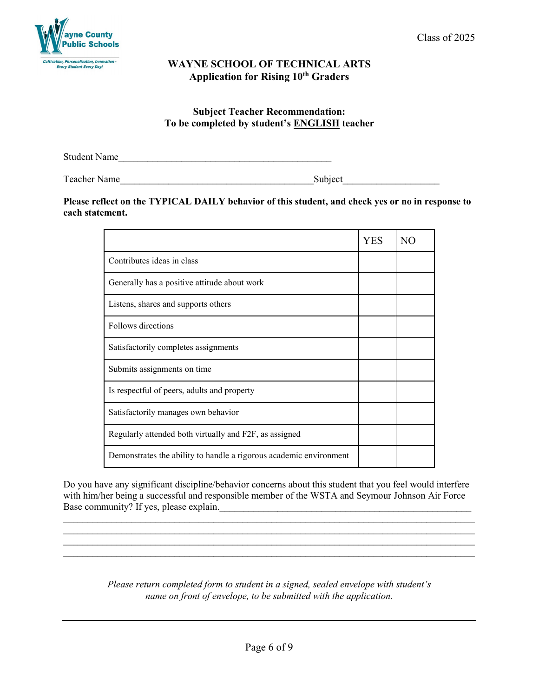

## **Subject Teacher Recommendation: To be completed by student's ENGLISH teacher**

Student Name

Teacher Name **Subject** 

### **Please reflect on the TYPICAL DAILY behavior of this student, and check yes or no in response to each statement.**

|                                                                    | YES | N <sub>O</sub> |
|--------------------------------------------------------------------|-----|----------------|
| Contributes ideas in class                                         |     |                |
| Generally has a positive attitude about work                       |     |                |
| Listens, shares and supports others                                |     |                |
| Follows directions                                                 |     |                |
| Satisfactorily completes assignments                               |     |                |
| Submits assignments on time                                        |     |                |
| Is respectful of peers, adults and property                        |     |                |
| Satisfactorily manages own behavior                                |     |                |
| Regularly attended both virtually and F2F, as assigned             |     |                |
| Demonstrates the ability to handle a rigorous academic environment |     |                |

Do you have any significant discipline/behavior concerns about this student that you feel would interfere with him/her being a successful and responsible member of the WSTA and Seymour Johnson Air Force Base community? If yes, please explain.

 $\_$  , and the set of the set of the set of the set of the set of the set of the set of the set of the set of the set of the set of the set of the set of the set of the set of the set of the set of the set of the set of th \_\_\_\_\_\_\_\_\_\_\_\_\_\_\_\_\_\_\_\_\_\_\_\_\_\_\_\_\_\_\_\_\_\_\_\_\_\_\_\_\_\_\_\_\_\_\_\_\_\_\_\_\_\_\_\_\_\_\_\_\_\_\_\_\_\_\_\_\_\_\_\_\_\_\_\_\_\_\_\_\_\_\_\_\_ \_\_\_\_\_\_\_\_\_\_\_\_\_\_\_\_\_\_\_\_\_\_\_\_\_\_\_\_\_\_\_\_\_\_\_\_\_\_\_\_\_\_\_\_\_\_\_\_\_\_\_\_\_\_\_\_\_\_\_\_\_\_\_\_\_\_\_\_\_\_\_\_\_\_\_\_\_\_\_\_\_\_\_\_\_  $\_$  , and the set of the set of the set of the set of the set of the set of the set of the set of the set of the set of the set of the set of the set of the set of the set of the set of the set of the set of the set of th

> *Please return completed form to student in a signed, sealed envelope with student's name on front of envelope, to be submitted with the application.*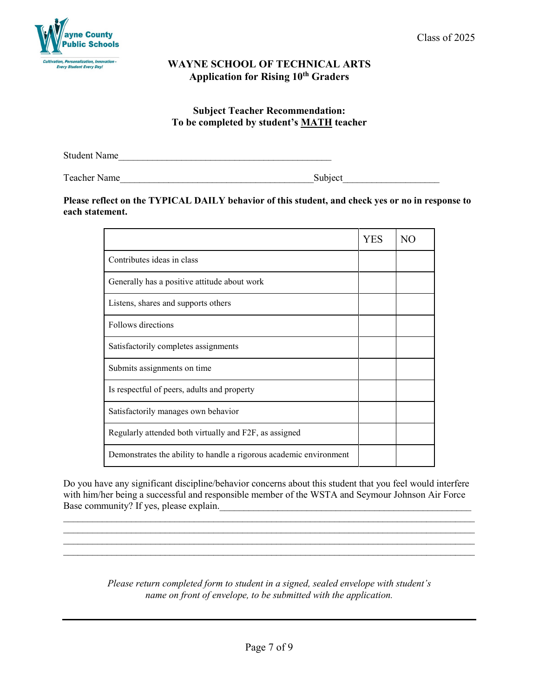#### **Subject Teacher Recommendation: To be completed by student's MATH teacher**

Student Name

Teacher Name\_\_\_\_\_\_\_\_\_\_\_\_\_\_\_\_\_\_\_\_\_\_\_\_\_\_\_\_\_\_\_\_\_\_\_\_\_\_\_\_Subject\_\_\_\_\_\_\_\_\_\_\_\_\_\_\_\_\_\_\_\_

#### **Please reflect on the TYPICAL DAILY behavior of this student, and check yes or no in response to each statement.**

|                                                                    | <b>YES</b> | NO. |
|--------------------------------------------------------------------|------------|-----|
| Contributes ideas in class                                         |            |     |
| Generally has a positive attitude about work                       |            |     |
| Listens, shares and supports others                                |            |     |
| Follows directions                                                 |            |     |
| Satisfactorily completes assignments                               |            |     |
| Submits assignments on time                                        |            |     |
| Is respectful of peers, adults and property                        |            |     |
| Satisfactorily manages own behavior                                |            |     |
| Regularly attended both virtually and F2F, as assigned             |            |     |
| Demonstrates the ability to handle a rigorous academic environment |            |     |

Do you have any significant discipline/behavior concerns about this student that you feel would interfere with him/her being a successful and responsible member of the WSTA and Seymour Johnson Air Force Base community? If yes, please explain.

 $\_$  , and the set of the set of the set of the set of the set of the set of the set of the set of the set of the set of the set of the set of the set of the set of the set of the set of the set of the set of the set of th

 $\_$  , and the set of the set of the set of the set of the set of the set of the set of the set of the set of the set of the set of the set of the set of the set of the set of the set of the set of the set of the set of th  $\_$  , and the set of the set of the set of the set of the set of the set of the set of the set of the set of the set of the set of the set of the set of the set of the set of the set of the set of the set of the set of th

> *Please return completed form to student in a signed, sealed envelope with student's name on front of envelope, to be submitted with the application.*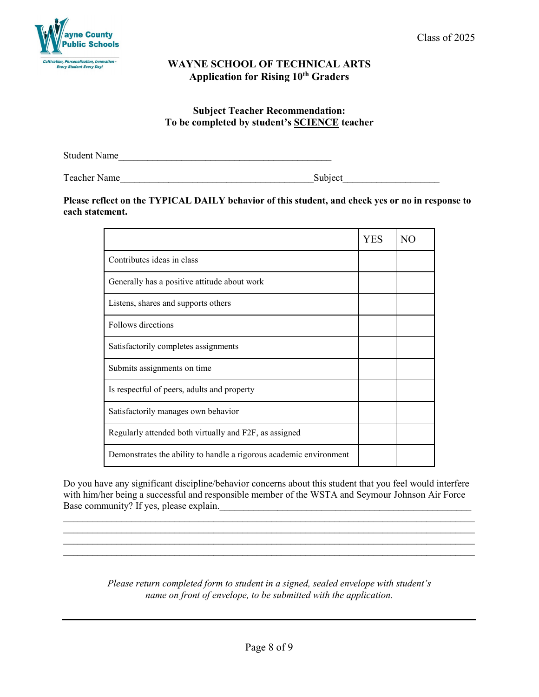

### **Subject Teacher Recommendation: To be completed by student's SCIENCE teacher**

Student Name

Teacher Name\_\_\_\_\_\_\_\_\_\_\_\_\_\_\_\_\_\_\_\_\_\_\_\_\_\_\_\_\_\_\_\_\_\_\_\_\_\_\_\_Subject\_\_\_\_\_\_\_\_\_\_\_\_\_\_\_\_\_\_\_\_

### **Please reflect on the TYPICAL DAILY behavior of this student, and check yes or no in response to each statement.**

|                                                                    | YES | N <sub>O</sub> |
|--------------------------------------------------------------------|-----|----------------|
| Contributes ideas in class                                         |     |                |
| Generally has a positive attitude about work                       |     |                |
| Listens, shares and supports others                                |     |                |
| Follows directions                                                 |     |                |
| Satisfactorily completes assignments                               |     |                |
| Submits assignments on time                                        |     |                |
| Is respectful of peers, adults and property                        |     |                |
| Satisfactorily manages own behavior                                |     |                |
| Regularly attended both virtually and F2F, as assigned             |     |                |
| Demonstrates the ability to handle a rigorous academic environment |     |                |

Do you have any significant discipline/behavior concerns about this student that you feel would interfere with him/her being a successful and responsible member of the WSTA and Seymour Johnson Air Force Base community? If yes, please explain.\_\_\_\_\_\_\_\_\_\_\_\_\_\_\_\_\_\_\_\_\_\_\_\_\_\_\_\_\_\_\_\_\_\_\_\_\_\_\_\_\_\_\_\_\_\_\_\_\_\_\_\_

 $\_$  , and the set of the set of the set of the set of the set of the set of the set of the set of the set of the set of the set of the set of the set of the set of the set of the set of the set of the set of the set of th

 $\_$  , and the set of the set of the set of the set of the set of the set of the set of the set of the set of the set of the set of the set of the set of the set of the set of the set of the set of the set of the set of th  $\_$  , and the set of the set of the set of the set of the set of the set of the set of the set of the set of the set of the set of the set of the set of the set of the set of the set of the set of the set of the set of th

> *Please return completed form to student in a signed, sealed envelope with student's name on front of envelope, to be submitted with the application.*